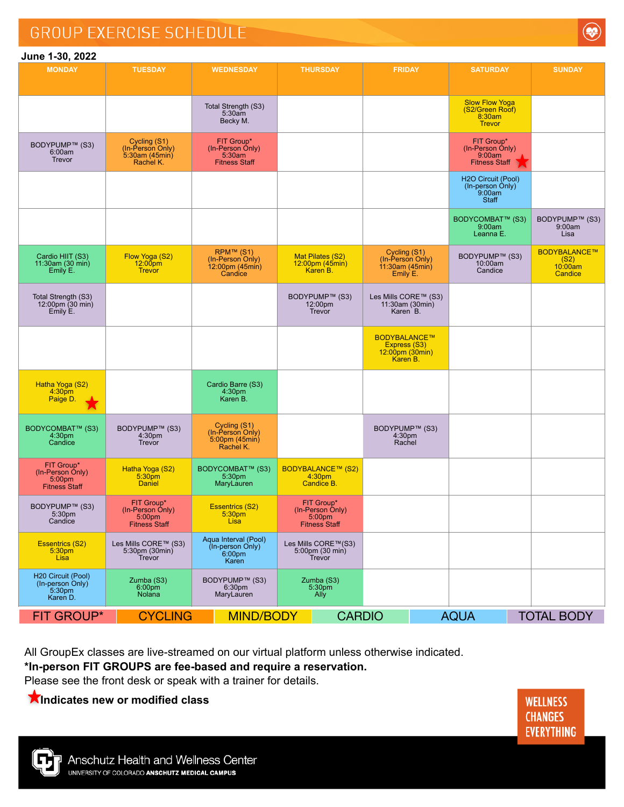## **GROUP EXERCISE SCHEDULE**



## **June 1-30, 2022**

| <b>MONDAY</b>                                                    | <b>TUESDAY</b>                                                   | <b>WEDNESDAY</b>                                                              | <b>THURSDAY</b>                                                  | <b>FRIDAY</b>                                                             | <b>SATURDAY</b>                                                     | <b>SUNDAY</b>                              |
|------------------------------------------------------------------|------------------------------------------------------------------|-------------------------------------------------------------------------------|------------------------------------------------------------------|---------------------------------------------------------------------------|---------------------------------------------------------------------|--------------------------------------------|
|                                                                  |                                                                  |                                                                               |                                                                  |                                                                           |                                                                     |                                            |
|                                                                  |                                                                  | Total Strength (S3)<br>5:30am<br>Becky M.                                     |                                                                  |                                                                           | <b>Slow Flow Yoga</b><br>(S2/Green Roof)<br>8:30am<br><b>Trevor</b> |                                            |
| BODYPUMP™ (S3)<br>6:00am<br>Trevor                               | Cycling (S1)<br>(In-Person Only)<br>5:30am (45min)<br>Rachel K.  | FIT Group*<br>$(ln-Person Ohly)$<br>5:30am<br><b>Fitness Staff</b>            |                                                                  |                                                                           | FIT Group*<br>(In-Person Only)<br>9:00am<br><b>Fitness Staff</b>    |                                            |
|                                                                  |                                                                  |                                                                               |                                                                  |                                                                           | H2O Circuit (Pool)<br>(In-person Only)<br>9:00am<br>Staff           |                                            |
|                                                                  |                                                                  |                                                                               |                                                                  |                                                                           | BODYCOMBAT™ (S3)<br>9:00am<br>Leanna E.                             | BODYPUMP™ (S3)<br>9:00am<br>Lisa           |
| Cardio HIIT (S3)<br>11:30am (30 min)<br>Emily E.                 | Flow Yoga (S2)<br>$12:00$ pm<br><b>Trevor</b>                    | RPM™ (S1)<br>(In-Person Only)<br>$12:00 \text{pm} (45 \text{min})$<br>Candice | Mat Pilates (S2)<br>12:00pm (45min)<br>Karen B.                  | Cycling (S1)<br>(In-Person Only)<br>11:30am(45min)<br>Emily E.            | BODYPUMP™ (S3)<br>10:00am<br>Candice                                | BODYBALANCE™<br>(S2)<br>10:00am<br>Candice |
| Total Strength (S3)<br>12:00pm (30 min)<br>Emily E.              |                                                                  |                                                                               | BODYPUMP™ (S3)<br>12:00pm<br><b>Trevor</b>                       | Les Mills CORE™ (S3)<br>11:30am (30min)<br>Karen B.                       |                                                                     |                                            |
|                                                                  |                                                                  |                                                                               |                                                                  | <b>BODYBALANCE™</b><br>Express (S3)<br>$12:00$ pm (30 $min$ )<br>Karen B. |                                                                     |                                            |
| Hatha Yoga (S2)<br>4:30 <sub>pm</sub><br>Paige D.<br>.K.         |                                                                  | Cardio Barre (S3)<br>4:30pm<br>Karen B.                                       |                                                                  |                                                                           |                                                                     |                                            |
| BODYCOMBAT™ (S3)<br>4:30pm<br>Candice                            | BODYPUMP™ (S3)<br>4:30 <sub>pm</sub><br>Trevor                   | Cycling (S1)<br>(In-Person Only)<br>$5.00pm$ (45min)<br>Rachel K.             |                                                                  | BODYPUMP™ (S3)<br>4:30pm<br>Rachel                                        |                                                                     |                                            |
| FIT Group*<br>(In-Person Only)<br>5:00pm<br><b>Fitness Staff</b> | Hatha Yoga (S2)<br>5:30pm<br><b>Daniel</b>                       | BODYCOMBAT™ (S3)<br>5:30 <sub>pm</sub><br>MaryLauren                          | <b>BODYBALANCE™ (S2)</b><br>4:30pm<br>Candice B.                 |                                                                           |                                                                     |                                            |
| BODYPUMP™ (S3)<br>5:30 <sub>pm</sub><br>Candice                  | FIT Group*<br>(In-Person Only)<br>5:00pm<br><b>Fitness Staff</b> | <b>Essentrics (S2)</b><br>5:30pm<br>Lisa                                      | FIT Group*<br>(In-Person Only)<br>5:00pm<br><b>Fitness Staff</b> |                                                                           |                                                                     |                                            |
| <b>Essentrics (S2)</b><br>5:30pm<br>Lisa                         | Les Mills CORE™ (S3)<br>$5:30$ pm (30min)<br>Trevor              | Aqua Interval (Pool)<br>(In-person Only)<br>6:00 <sub>pm</sub><br>Karen       | Les Mills CORE™(S3)<br>5:00pm (30 min)<br>Trevor                 |                                                                           |                                                                     |                                            |
| H20 Circuit (Pool)<br>(In-person Only)<br>5:30pm<br>Karen D.     | Zumba (S3)<br>6:00 <sub>pm</sub><br><b>Nolana</b>                | BODYPUMP™ (S3)<br>6:30 <sub>pm</sub><br>MaryLauren                            | Zumba (S3)<br>5:30 <sub>pm</sub><br>Ally                         |                                                                           |                                                                     |                                            |
| <b>FIT GROUP*</b>                                                | <b>CYCLING</b>                                                   | <b>MIND/BODY</b>                                                              | <b>CARDIO</b>                                                    |                                                                           | <b>AQUA</b><br><b>TOTAL BODY</b>                                    |                                            |

All GroupEx classes are live-streamed on our virtual platform unless otherwise indicated.

## **\*In-person FIT GROUPS are fee-based and require a reservation.**

Please see the front desk or speak with a trainer for details.

**Indicates new or modified class**

**WELLNESS CHANGES EVERYTHING**